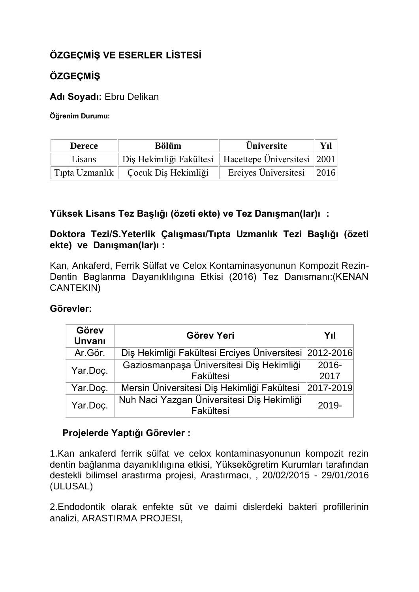# **ÖZGEÇMİŞ VE ESERLER LİSTESİ**

## **ÖZGEÇMİŞ**

**Adı Soyadı:** Ebru Delikan

**Öğrenim Durumu:**

| <b>Derece</b> | <b>Bölüm</b>                                            | <b>Üniversite</b>               | Yıl |
|---------------|---------------------------------------------------------|---------------------------------|-----|
| Lisans        | Diş Hekimliği Fakültesi   Hacettepe Üniversitesi   2001 |                                 |     |
|               | Tipta Uzmanlık   Çocuk Diş Hekimliği                    | Erciyes Üniversitesi $\ 2016\ $ |     |

## **Yüksek Lisans Tez Başlığı (özeti ekte) ve Tez Danışman(lar)ı :**

## **Doktora Tezi/S.Yeterlik Çalışması/Tıpta Uzmanlık Tezi Başlığı (özeti ekte) ve Danışman(lar)ı :**

Kan, Ankaferd, Ferrik Sülfat ve Celox Kontaminasyonunun Kompozit Rezin-Dentin Baglanma Dayanıklılıgına Etkisi (2016) Tez Danısmanı:(KENAN CANTEKIN)

## **Görevler:**

| Görev<br><b>Unvani</b> | Görev Yeri                                              | Yıl              |
|------------------------|---------------------------------------------------------|------------------|
| Ar.Gör.                | Diş Hekimliği Fakültesi Erciyes Üniversitesi 2012-2016  |                  |
| Yar.Doç.               | Gaziosmanpaşa Üniversitesi Diş Hekimliği<br>Fakültesi   | $2016 -$<br>2017 |
| Yar.Doç.               | Mersin Üniversitesi Diş Hekimliği Fakültesi             | 2017-2019        |
| Yar.Doç.               | Nuh Naci Yazgan Üniversitesi Diş Hekimliği<br>Fakültesi | $2019 -$         |

## **Projelerde Yaptığı Görevler :**

1.Kan ankaferd ferrik sülfat ve celox kontaminasyonunun kompozit rezin dentin bağlanma dayanıklılıgına etkisi, Yüksekögretim Kurumları tarafından destekli bilimsel arastırma projesi, Arastırmacı, , 20/02/2015 - 29/01/2016 (ULUSAL)

2.Endodontik olarak enfekte süt ve daimi dislerdeki bakteri profillerinin analizi, ARASTIRMA PROJESI,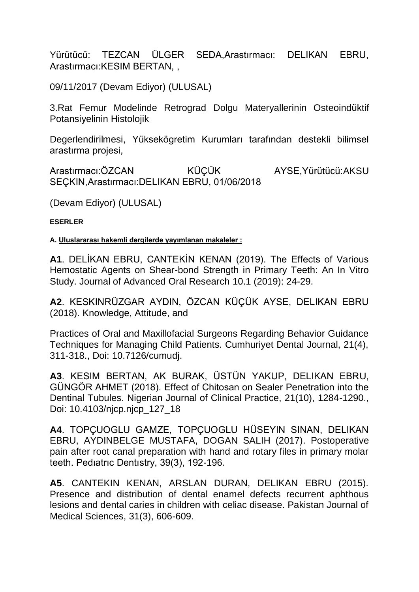Yürütücü: TEZCAN ÜLGER SEDA,Arastırmacı: DELIKAN EBRU, Arastırmacı:KESIM BERTAN, ,

09/11/2017 (Devam Ediyor) (ULUSAL)

3.Rat Femur Modelinde Retrograd Dolgu Materyallerinin Osteoindüktif Potansiyelinin Histolojik

Degerlendirilmesi, Yüksekögretim Kurumları tarafından destekli bilimsel arastırma projesi,

Arastırmacı:ÖZCAN KÜÇÜK AYSE, Yürütücü:AKSU SEÇKIN,Arastırmacı:DELIKAN EBRU, 01/06/2018

(Devam Ediyor) (ULUSAL)

**ESERLER**

**A. Uluslararası hakemli dergilerde yayımlanan makaleler :**

**A1**. DELİKAN EBRU, CANTEKİN KENAN (2019). The Effects of Various Hemostatic Agents on Shear-bond Strength in Primary Teeth: An In Vitro Study. Journal of Advanced Oral Research 10.1 (2019): 24-29.

**A2**. KESKINRÜZGAR AYDIN, ÖZCAN KÜÇÜK AYSE, DELIKAN EBRU (2018). Knowledge, Attitude, and

Practices of Oral and Maxillofacial Surgeons Regarding Behavior Guidance Techniques for Managing Child Patients. Cumhuriyet Dental Journal, 21(4), 311-318., Doi: 10.7126/cumudj.

**A3**. KESIM BERTAN, AK BURAK, ÜSTÜN YAKUP, DELIKAN EBRU, GÜNGÖR AHMET (2018). Effect of Chitosan on Sealer Penetration into the Dentinal Tubules. Nigerian Journal of Clinical Practice, 21(10), 1284-1290., Doi: 10.4103/njcp.njcp\_127\_18

**A4**. TOPÇUOGLU GAMZE, TOPÇUOGLU HÜSEYIN SINAN, DELIKAN EBRU, AYDINBELGE MUSTAFA, DOGAN SALIH (2017). Postoperative pain after root canal preparation with hand and rotary files in primary molar teeth. Pedıatrıc Dentıstry, 39(3), 192-196.

**A5**. CANTEKIN KENAN, ARSLAN DURAN, DELIKAN EBRU (2015). Presence and distribution of dental enamel defects recurrent aphthous lesions and dental caries in children with celiac disease. Pakistan Journal of Medical Sciences, 31(3), 606-609.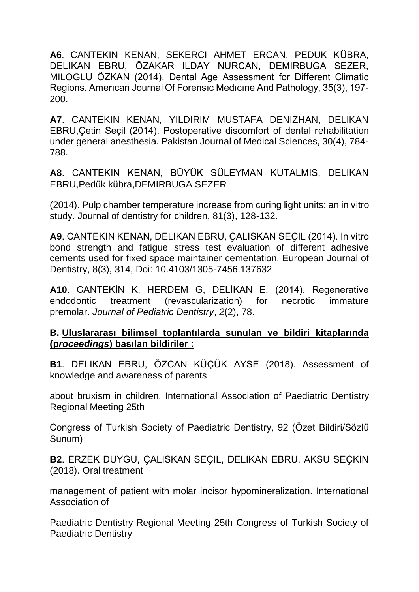**A6**. CANTEKIN KENAN, SEKERCI AHMET ERCAN, PEDUK KÜBRA, DELIKAN EBRU, ÖZAKAR ILDAY NURCAN, DEMIRBUGA SEZER, MILOGLU ÖZKAN (2014). Dental Age Assessment for Different Climatic Regions. Amerıcan Journal Of Forensıc Medıcıne And Pathology, 35(3), 197- 200.

**A7**. CANTEKIN KENAN, YILDIRIM MUSTAFA DENIZHAN, DELIKAN EBRU,Çetin Seçil (2014). Postoperative discomfort of dental rehabilitation under general anesthesia. Pakistan Journal of Medical Sciences, 30(4), 784- 788.

**A8**. CANTEKIN KENAN, BÜYÜK SÜLEYMAN KUTALMIS, DELIKAN EBRU,Pedük kübra,DEMIRBUGA SEZER

(2014). Pulp chamber temperature increase from curing light units: an in vitro study. Journal of dentistry for children, 81(3), 128-132.

**A9**. CANTEKIN KENAN, DELIKAN EBRU, ÇALISKAN SEÇIL (2014). In vitro bond strength and fatigue stress test evaluation of different adhesive cements used for fixed space maintainer cementation. European Journal of Dentistry, 8(3), 314, Doi: 10.4103/1305-7456.137632

**A10**. CANTEKİN K, HERDEM G, DELİKAN E. (2014). Regenerative endodontic treatment (revascularization) for necrotic immature premolar. *Journal of Pediatric Dentistry*, *2*(2), 78.

#### **B. Uluslararası bilimsel toplantılarda sunulan ve bildiri kitaplarında (p***roceedings***) basılan bildiriler :**

**B1**. DELIKAN EBRU, ÖZCAN KÜÇÜK AYSE (2018). Assessment of knowledge and awareness of parents

about bruxism in children. International Association of Paediatric Dentistry Regional Meeting 25th

Congress of Turkish Society of Paediatric Dentistry, 92 (Özet Bildiri/Sözlü Sunum)

**B2**. ERZEK DUYGU, ÇALISKAN SEÇIL, DELIKAN EBRU, AKSU SEÇKIN (2018). Oral treatment

management of patient with molar incisor hypomineralization. International Association of

Paediatric Dentistry Regional Meeting 25th Congress of Turkish Society of Paediatric Dentistry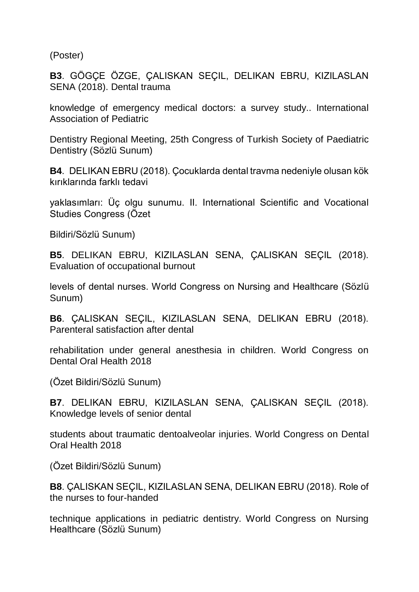(Poster)

**B3**. GÖGÇE ÖZGE, ÇALISKAN SEÇIL, DELIKAN EBRU, KIZILASLAN SENA (2018). Dental trauma

knowledge of emergency medical doctors: a survey study.. International Association of Pediatric

Dentistry Regional Meeting, 25th Congress of Turkish Society of Paediatric Dentistry (Sözlü Sunum)

**B4**. DELIKAN EBRU (2018). Çocuklarda dental travma nedeniyle olusan kök kırıklarında farklı tedavi

yaklasımları: Üç olgu sunumu. II. International Scientific and Vocational Studies Congress (Özet

Bildiri/Sözlü Sunum)

**B5**. DELIKAN EBRU, KIZILASLAN SENA, ÇALISKAN SEÇIL (2018). Evaluation of occupational burnout

levels of dental nurses. World Congress on Nursing and Healthcare (Sözlü Sunum)

**B6**. ÇALISKAN SEÇIL, KIZILASLAN SENA, DELIKAN EBRU (2018). Parenteral satisfaction after dental

rehabilitation under general anesthesia in children. World Congress on Dental Oral Health 2018

(Özet Bildiri/Sözlü Sunum)

**B7**. DELIKAN EBRU, KIZILASLAN SENA, ÇALISKAN SEÇIL (2018). Knowledge levels of senior dental

students about traumatic dentoalveolar injuries. World Congress on Dental Oral Health 2018

(Özet Bildiri/Sözlü Sunum)

**B8**. ÇALISKAN SEÇIL, KIZILASLAN SENA, DELIKAN EBRU (2018). Role of the nurses to four-handed

technique applications in pediatric dentistry. World Congress on Nursing Healthcare (Sözlü Sunum)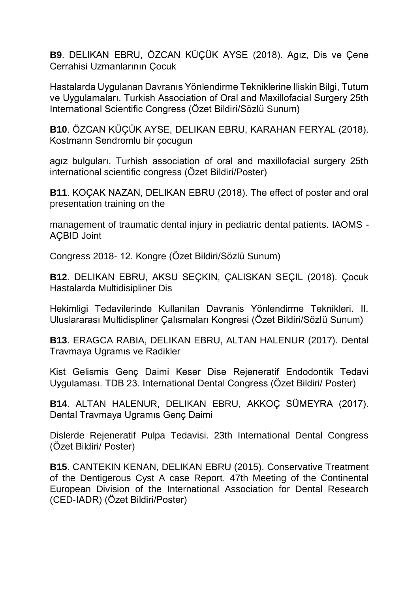**B9**. DELIKAN EBRU, ÖZCAN KÜÇÜK AYSE (2018). Agız, Dis ve Çene Cerrahisi Uzmanlarının Çocuk

Hastalarda Uygulanan Davranıs Yönlendirme Tekniklerine Iliskin Bilgi, Tutum ve Uygulamaları. Turkish Association of Oral and Maxillofacial Surgery 25th International Scientific Congress (Özet Bildiri/Sözlü Sunum)

**B10**. ÖZCAN KÜÇÜK AYSE, DELIKAN EBRU, KARAHAN FERYAL (2018). Kostmann Sendromlu bir çocugun

agız bulguları. Turhish association of oral and maxillofacial surgery 25th international scientific congress (Özet Bildiri/Poster)

**B11**. KOÇAK NAZAN, DELIKAN EBRU (2018). The effect of poster and oral presentation training on the

management of traumatic dental injury in pediatric dental patients. IAOMS - AÇBID Joint

Congress 2018- 12. Kongre (Özet Bildiri/Sözlü Sunum)

**B12**. DELIKAN EBRU, AKSU SEÇKIN, ÇALISKAN SEÇIL (2018). Çocuk Hastalarda Multidisipliner Dis

Hekimligi Tedavilerinde Kullanilan Davranis Yönlendirme Teknikleri. II. Uluslararası Multidispliner Çalısmaları Kongresi (Özet Bildiri/Sözlü Sunum)

**B13**. ERAGCA RABIA, DELIKAN EBRU, ALTAN HALENUR (2017). Dental Travmaya Ugramıs ve Radikler

Kist Gelismis Genç Daimi Keser Dise Rejeneratif Endodontik Tedavi Uygulaması. TDB 23. International Dental Congress (Özet Bildiri/ Poster)

**B14**. ALTAN HALENUR, DELIKAN EBRU, AKKOÇ SÜMEYRA (2017). Dental Travmaya Ugramıs Genç Daimi

Dislerde Rejeneratif Pulpa Tedavisi. 23th International Dental Congress (Özet Bildiri/ Poster)

**B15**. CANTEKIN KENAN, DELIKAN EBRU (2015). Conservative Treatment of the Dentigerous Cyst A case Report. 47th Meeting of the Continental European Division of the International Association for Dental Research (CED-IADR) (Özet Bildiri/Poster)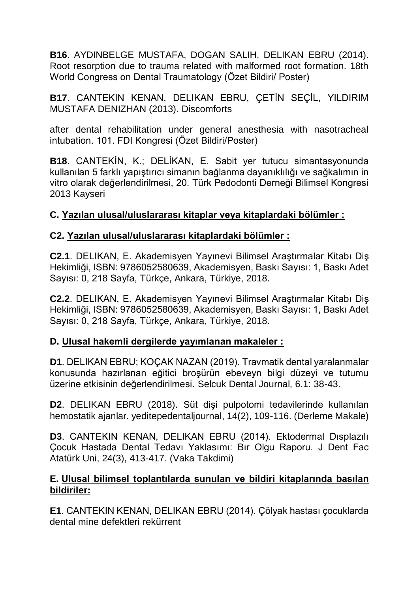**B16**. AYDINBELGE MUSTAFA, DOGAN SALIH, DELIKAN EBRU (2014). Root resorption due to trauma related with malformed root formation. 18th World Congress on Dental Traumatology (Özet Bildiri/ Poster)

**B17**. CANTEKIN KENAN, DELIKAN EBRU, ÇETİN SEÇİL, YILDIRIM MUSTAFA DENIZHAN (2013). Discomforts

after dental rehabilitation under general anesthesia with nasotracheal intubation. 101. FDI Kongresi (Özet Bildiri/Poster)

**B18**. CANTEKİN, K.; DELİKAN, E. Sabit yer tutucu simantasyonunda kullanılan 5 farklı yapıştırıcı simanın bağlanma dayanıklılığı ve sağkalımın in vitro olarak değerlendirilmesi, 20. Türk Pedodonti Derneği Bilimsel Kongresi 2013 Kayseri

## **C. Yazılan ulusal/uluslararası kitaplar veya kitaplardaki bölümler :**

#### **C2. Yazılan ulusal/uluslararası kitaplardaki bölümler :**

**C2.1**. DELIKAN, E. Akademisyen Yayınevi Bilimsel Araştırmalar Kitabı Diş Hekimliği, ISBN: 9786052580639, Akademisyen, Baskı Sayısı: 1, Baskı Adet Sayısı: 0, 218 Sayfa, Türkçe, Ankara, Türkiye, 2018.

**C2.2**. DELIKAN, E. Akademisyen Yayınevi Bilimsel Araştırmalar Kitabı Diş Hekimliği, ISBN: 9786052580639, Akademisyen, Baskı Sayısı: 1, Baskı Adet Sayısı: 0, 218 Sayfa, Türkçe, Ankara, Türkiye, 2018.

## **D. Ulusal hakemli dergilerde yayımlanan makaleler :**

**D1**. DELIKAN EBRU; KOÇAK NAZAN (2019). Travmatik dental yaralanmalar konusunda hazırlanan eğitici broşürün ebeveyn bilgi düzeyi ve tutumu üzerine etkisinin değerlendirilmesi. Selcuk Dental Journal, 6.1: 38-43.

**D2**. DELIKAN EBRU (2018). Süt dişi pulpotomi tedavilerinde kullanılan hemostatik ajanlar. yeditepedentaljournal, 14(2), 109-116. (Derleme Makale)

**D3**. CANTEKIN KENAN, DELIKAN EBRU (2014). Ektodermal Dısplazılı Çocuk Hastada Dental Tedavı Yaklasımı: Bır Olgu Raporu. J Dent Fac Atatürk Uni, 24(3), 413-417. (Vaka Takdimi)

#### **E. Ulusal bilimsel toplantılarda sunulan ve bildiri kitaplarında basılan bildiriler:**

**E1**. CANTEKIN KENAN, DELIKAN EBRU (2014). Çölyak hastası çocuklarda dental mine defektleri rekürrent